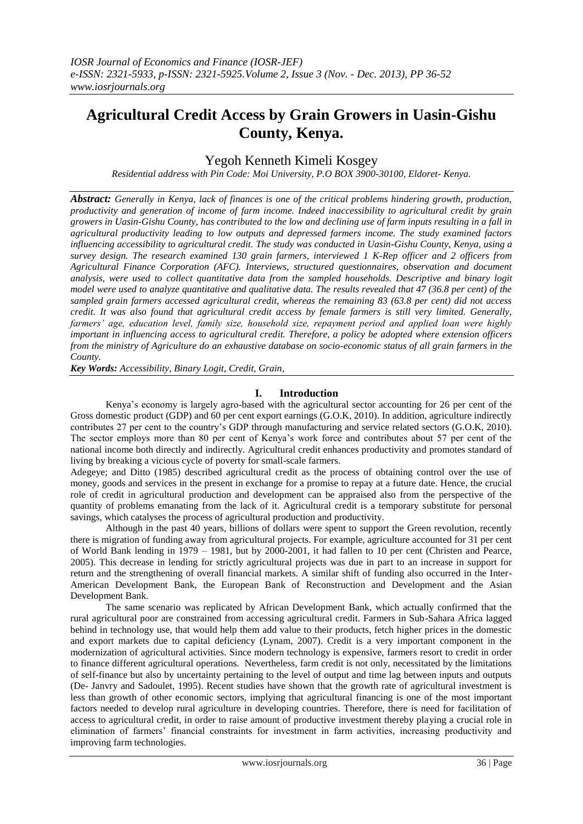# **Agricultural Credit Access by Grain Growers in Uasin-Gishu County, Kenya.**

## Yegoh Kenneth Kimeli Kosgey

*Residential address with Pin Code: Moi University, P.O BOX 3900-30100, Eldoret- Kenya.*

*Abstract: Generally in Kenya, lack of finances is one of the critical problems hindering growth, production, productivity and generation of income of farm income. Indeed inaccessibility to agricultural credit by grain growers in Uasin-Gishu County, has contributed to the low and declining use of farm inputs resulting in a fall in agricultural productivity leading to low outputs and depressed farmers income. The study examined factors influencing accessibility to agricultural credit. The study was conducted in Uasin-Gishu County, Kenya, using a survey design. The research examined 130 grain farmers, interviewed 1 K-Rep officer and 2 officers from Agricultural Finance Corporation (AFC). Interviews, structured questionnaires, observation and document analysis, were used to collect quantitative data from the sampled households. Descriptive and binary logit model were used to analyze quantitative and qualitative data. The results revealed that 47 (36.8 per cent) of the sampled grain farmers accessed agricultural credit, whereas the remaining 83 (63.8 per cent) did not access credit. It was also found that agricultural credit access by female farmers is still very limited. Generally, farmers' age, education level, family size, household size, repayment period and applied loan were highly important in influencing access to agricultural credit. Therefore, a policy be adopted where extension officers from the ministry of Agriculture do an exhaustive database on socio-economic status of all grain farmers in the County.* 

*Key Words: Accessibility, Binary Logit, Credit, Grain,* 

### **I. Introduction**

Kenya"s economy is largely agro-based with the agricultural sector accounting for 26 per cent of the Gross domestic product (GDP) and 60 per cent export earnings (G.O.K, 2010). In addition, agriculture indirectly contributes 27 per cent to the country"s GDP through manufacturing and service related sectors (G.O.K, 2010). The sector employs more than 80 per cent of Kenya"s work force and contributes about 57 per cent of the national income both directly and indirectly. Agricultural credit enhances productivity and promotes standard of living by breaking a vicious cycle of poverty for small-scale farmers.

Adegeye; and Ditto (1985) described agricultural credit as the process of obtaining control over the use of money, goods and services in the present in exchange for a promise to repay at a future date. Hence, the crucial role of credit in agricultural production and development can be appraised also from the perspective of the quantity of problems emanating from the lack of it. Agricultural credit is a temporary substitute for personal savings, which catalyses the process of agricultural production and productivity.

Although in the past 40 years, billions of dollars were spent to support the Green revolution, recently there is migration of funding away from agricultural projects. For example, agriculture accounted for 31 per cent of World Bank lending in 1979 – 1981, but by 2000-2001, it had fallen to 10 per cent (Christen and Pearce, 2005). This decrease in lending for strictly agricultural projects was due in part to an increase in support for return and the strengthening of overall financial markets. A similar shift of funding also occurred in the Inter-American Development Bank, the European Bank of Reconstruction and Development and the Asian Development Bank.

The same scenario was replicated by African Development Bank, which actually confirmed that the rural agricultural poor are constrained from accessing agricultural credit. Farmers in Sub-Sahara Africa lagged behind in technology use, that would help them add value to their products, fetch higher prices in the domestic and export markets due to capital deficiency (Lynam, 2007). Credit is a very important component in the modernization of agricultural activities. Since modern technology is expensive, farmers resort to credit in order to finance different agricultural operations. Nevertheless, farm credit is not only, necessitated by the limitations of self-finance but also by uncertainty pertaining to the level of output and time lag between inputs and outputs (De- Janvry and Sadoulet, 1995). Recent studies have shown that the growth rate of agricultural investment is less than growth of other economic sectors, implying that agricultural financing is one of the most important factors needed to develop rural agriculture in developing countries. Therefore, there is need for facilitation of access to agricultural credit, in order to raise amount of productive investment thereby playing a crucial role in elimination of farmers" financial constraints for investment in farm activities, increasing productivity and improving farm technologies.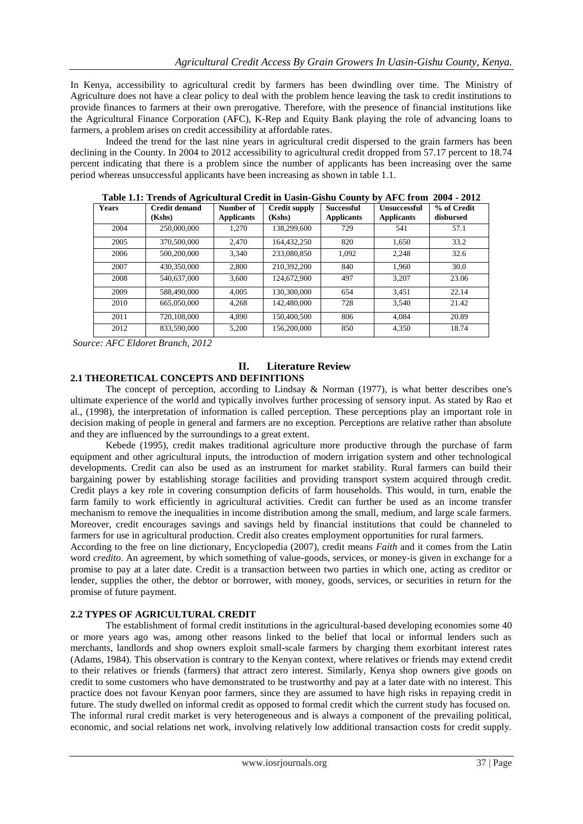In Kenya, accessibility to agricultural credit by farmers has been dwindling over time. The Ministry of Agriculture does not have a clear policy to deal with the problem hence leaving the task to credit institutions to provide finances to farmers at their own prerogative. Therefore, with the presence of financial institutions like the Agricultural Finance Corporation (AFC), K-Rep and Equity Bank playing the role of advancing loans to farmers, a problem arises on credit accessibility at affordable rates.

Indeed the trend for the last nine years in agricultural credit dispersed to the grain farmers has been declining in the County. In 2004 to 2012 accessibility to agricultural credit dropped from 57.17 percent to 18.74 percent indicating that there is a problem since the number of applicants has been increasing over the same period whereas unsuccessful applicants have been increasing as shown in table 1.1.

| Table 1.1. Trenus of Agricultural Credit in Oashi-Gishu County by APC from 2004 - 2012 |                                |                                |                                |                                 |                                   |                          |  |  |
|----------------------------------------------------------------------------------------|--------------------------------|--------------------------------|--------------------------------|---------------------------------|-----------------------------------|--------------------------|--|--|
| <b>Years</b>                                                                           | <b>Credit demand</b><br>(Kshs) | Number of<br><b>Applicants</b> | <b>Credit supply</b><br>(Kshs) | Successful<br><b>Applicants</b> | Unsuccessful<br><b>Applicants</b> | % of Credit<br>disbursed |  |  |
| 2004                                                                                   | 250,000,000                    | 1.270                          | 138,299,600                    | 729                             | 541                               | 57.1                     |  |  |
| 2005                                                                                   | 370,500,000                    | 2.470                          | 164.432.250                    | 820                             | 1.650                             | 33.2                     |  |  |
| 2006                                                                                   | 500,200,000                    | 3.340                          | 233,080,850                    | 1,092                           | 2.248                             | 32.6                     |  |  |
| 2007                                                                                   | 430,350,000                    | 2.800                          | 210,392,200                    | 840                             | 1.960                             | 30.0                     |  |  |
| 2008                                                                                   | 540,637,000                    | 3.600                          | 124,672,900                    | 497                             | 3.207                             | 23.06                    |  |  |
| 2009                                                                                   | 588,490,000                    | 4.005                          | 130.300.000                    | 654                             | 3,451                             | 22.14                    |  |  |
| 2010                                                                                   | 665,050,000                    | 4.268                          | 142,480,000                    | 728                             | 3.540                             | 21.42                    |  |  |
| 2011                                                                                   | 720,108,000                    | 4.890                          | 150,400,500                    | 806                             | 4.084                             | 20.89                    |  |  |
| 2012                                                                                   | 833,590,000                    | 5.200                          | 156,200,000                    | 850                             | 4.350                             | 18.74                    |  |  |

**Table 1.1: Trends of Agricultural Credit in Uasin-Gishu County by AFC from 2004 - 2012**

*Source: AFC Eldoret Branch, 2012*

### **II. Literature Review 2.1 THEORETICAL CONCEPTS AND DEFINITIONS**

The concept of perception, according to Lindsay & Norman (1977), is what better describes one's ultimate experience of the world and typically involves further processing of sensory input. As stated by Rao et al., (1998), the interpretation of information is called perception. These perceptions play an important role in decision making of people in general and farmers are no exception. Perceptions are relative rather than absolute

and they are influenced by the surroundings to a great extent. Kebede (1995), credit makes traditional agriculture more productive through the purchase of farm equipment and other agricultural inputs, the introduction of modern irrigation system and other technological developments. Credit can also be used as an instrument for market stability. Rural farmers can build their bargaining power by establishing storage facilities and providing transport system acquired through credit. Credit plays a key role in covering consumption deficits of farm households. This would, in turn, enable the farm family to work efficiently in agricultural activities. Credit can further be used as an income transfer mechanism to remove the inequalities in income distribution among the small, medium, and large scale farmers. Moreover, credit encourages savings and savings held by financial institutions that could be channeled to farmers for use in agricultural production. Credit also creates employment opportunities for rural farmers.

According to the free on line dictionary, Encyclopedia (2007), credit means *Faith* and it comes from the Latin word *credito*. An agreement, by which something of value-goods, services, or money-is given in exchange for a promise to pay at a later date. Credit is a transaction between two parties in which one, acting as creditor or lender, supplies the other, the debtor or borrower, with money, goods, services, or securities in return for the promise of future payment.

### **2.2 TYPES OF AGRICULTURAL CREDIT**

The establishment of formal credit institutions in the agricultural-based developing economies some 40 or more years ago was, among other reasons linked to the belief that local or informal lenders such as merchants, landlords and shop owners exploit small**-**scale farmers by charging them exorbitant interest rates (Adams, 1984). This observation is contrary to the Kenyan context, where relatives or friends may extend credit to their relatives or friends (farmers) that attract zero interest. Similarly, Kenya shop owners give goods on credit to some customers who have demonstrated to be trustworthy and pay at a later date with no interest. This practice does not favour Kenyan poor farmers, since they are assumed to have high risks in repaying credit in future. The study dwelled on informal credit as opposed to formal credit which the current study has focused on. The informal rural credit market is very heterogeneous and is always a component of the prevailing political, economic, and social relations net work, involving relatively low additional transaction costs for credit supply.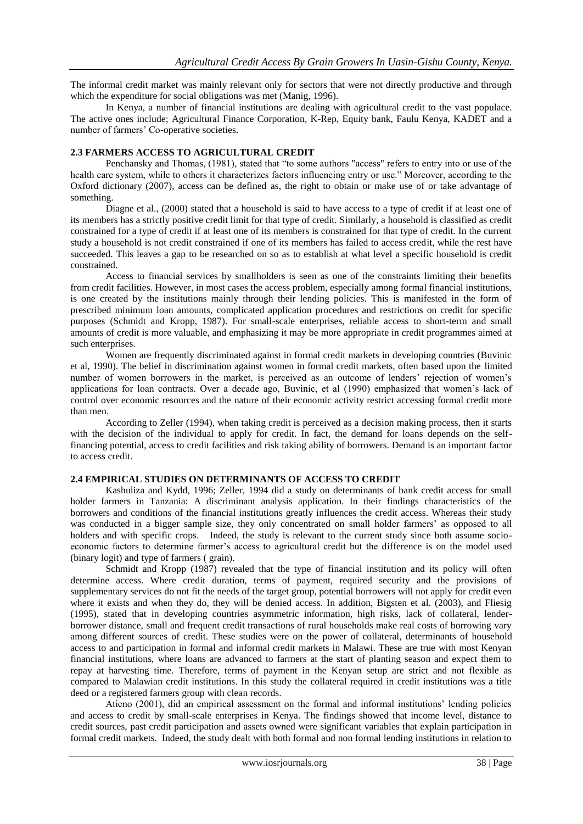The informal credit market was mainly relevant only for sectors that were not directly productive and through which the expenditure for social obligations was met (Manig, 1996).

In Kenya, a number of financial institutions are dealing with agricultural credit to the vast populace. The active ones include; Agricultural Finance Corporation, K-Rep, Equity bank, Faulu Kenya, KADET and a number of farmers' Co-operative societies.

### **2.3 FARMERS ACCESS TO AGRICULTURAL CREDIT**

Penchansky and Thomas, (1981), stated that "to some authors "access" refers to entry into or use of the health care system, while to others it characterizes factors influencing entry or use." Moreover, according to the Oxford dictionary (2007), access can be defined as, the right to obtain or make use of or take advantage of something.

Diagne et al., (2000) stated that a household is said to have access to a type of credit if at least one of its members has a strictly positive credit limit for that type of credit. Similarly, a household is classified as credit constrained for a type of credit if at least one of its members is constrained for that type of credit. In the current study a household is not credit constrained if one of its members has failed to access credit, while the rest have succeeded. This leaves a gap to be researched on so as to establish at what level a specific household is credit constrained.

Access to financial services by smallholders is seen as one of the constraints limiting their benefits from credit facilities. However, in most cases the access problem, especially among formal financial institutions, is one created by the institutions mainly through their lending policies. This is manifested in the form of prescribed minimum loan amounts, complicated application procedures and restrictions on credit for specific purposes (Schmidt and Kropp, 1987). For small-scale enterprises, reliable access to short-term and small amounts of credit is more valuable, and emphasizing it may be more appropriate in credit programmes aimed at such enterprises.

Women are frequently discriminated against in formal credit markets in developing countries (Buvinic et al, 1990). The belief in discrimination against women in formal credit markets, often based upon the limited number of women borrowers in the market, is perceived as an outcome of lenders" rejection of women"s applications for loan contracts. Over a decade ago, Buvinic, et al (1990) emphasized that women's lack of control over economic resources and the nature of their economic activity restrict accessing formal credit more than men.

According to Zeller (1994), when taking credit is perceived as a decision making process, then it starts with the decision of the individual to apply for credit. In fact, the demand for loans depends on the selffinancing potential, access to credit facilities and risk taking ability of borrowers. Demand is an important factor to access credit.

### **2.4 EMPIRICAL STUDIES ON DETERMINANTS OF ACCESS TO CREDIT**

Kashuliza and Kydd, 1996; Zeller, 1994 did a study on determinants of bank credit access for small holder farmers in Tanzania: A discriminant analysis application. In their findings characteristics of the borrowers and conditions of the financial institutions greatly influences the credit access. Whereas their study was conducted in a bigger sample size, they only concentrated on small holder farmers' as opposed to all holders and with specific crops. Indeed, the study is relevant to the current study since both assume socioeconomic factors to determine farmer"s access to agricultural credit but the difference is on the model used (binary logit) and type of farmers ( grain).

Schmidt and Kropp (1987) revealed that the type of financial institution and its policy will often determine access. Where credit duration, terms of payment, required security and the provisions of supplementary services do not fit the needs of the target group, potential borrowers will not apply for credit even where it exists and when they do, they will be denied access. In addition, Bigsten et al. (2003), and Fliesig (1995), stated that in developing countries asymmetric information, high risks, lack of collateral, lenderborrower distance, small and frequent credit transactions of rural households make real costs of borrowing vary among different sources of credit. These studies were on the power of collateral, determinants of household access to and participation in formal and informal credit markets in Malawi. These are true with most Kenyan financial institutions, where loans are advanced to farmers at the start of planting season and expect them to repay at harvesting time. Therefore, terms of payment in the Kenyan setup are strict and not flexible as compared to Malawian credit institutions. In this study the collateral required in credit institutions was a title deed or a registered farmers group with clean records.

Atieno (2001), did an empirical assessment on the formal and informal institutions" lending policies and access to credit by small-scale enterprises in Kenya. The findings showed that income level, distance to credit sources, past credit participation and assets owned were significant variables that explain participation in formal credit markets. Indeed, the study dealt with both formal and non formal lending institutions in relation to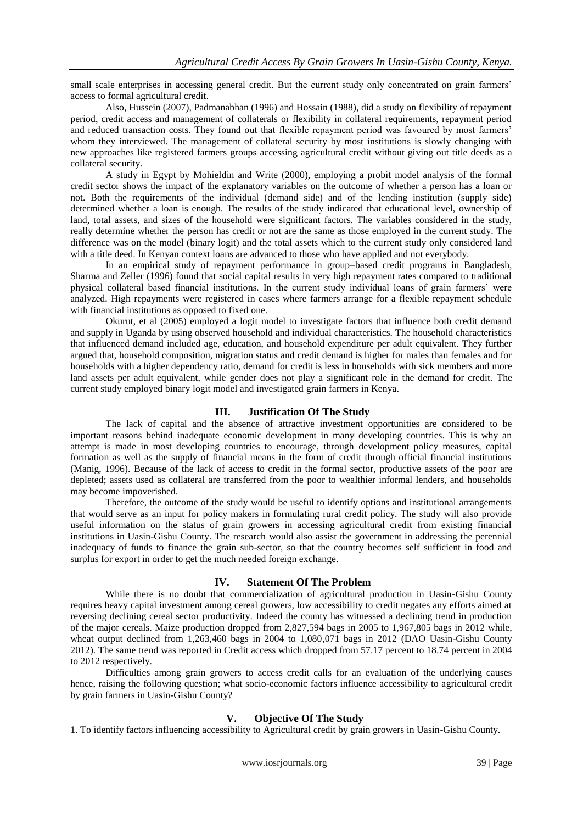small scale enterprises in accessing general credit. But the current study only concentrated on grain farmers' access to formal agricultural credit.

Also, Hussein (2007), Padmanabhan (1996) and Hossain (1988), did a study on flexibility of repayment period, credit access and management of collaterals or flexibility in collateral requirements, repayment period and reduced transaction costs. They found out that flexible repayment period was favoured by most farmers" whom they interviewed. The management of collateral security by most institutions is slowly changing with new approaches like registered farmers groups accessing agricultural credit without giving out title deeds as a collateral security.

A study in Egypt by Mohieldin and Write (2000), employing a probit model analysis of the formal credit sector shows the impact of the explanatory variables on the outcome of whether a person has a loan or not. Both the requirements of the individual (demand side) and of the lending institution (supply side) determined whether a loan is enough. The results of the study indicated that educational level, ownership of land, total assets, and sizes of the household were significant factors. The variables considered in the study, really determine whether the person has credit or not are the same as those employed in the current study. The difference was on the model (binary logit) and the total assets which to the current study only considered land with a title deed. In Kenyan context loans are advanced to those who have applied and not everybody.

In an empirical study of repayment performance in group–based credit programs in Bangladesh, Sharma and Zeller (1996) found that social capital results in very high repayment rates compared to traditional physical collateral based financial institutions. In the current study individual loans of grain farmers" were analyzed. High repayments were registered in cases where farmers arrange for a flexible repayment schedule with financial institutions as opposed to fixed one.

Okurut, et al (2005) employed a logit model to investigate factors that influence both credit demand and supply in Uganda by using observed household and individual characteristics. The household characteristics that influenced demand included age, education, and household expenditure per adult equivalent. They further argued that, household composition, migration status and credit demand is higher for males than females and for households with a higher dependency ratio, demand for credit is less in households with sick members and more land assets per adult equivalent, while gender does not play a significant role in the demand for credit. The current study employed binary logit model and investigated grain farmers in Kenya.

### **III. Justification Of The Study**

The lack of capital and the absence of attractive investment opportunities are considered to be important reasons behind inadequate economic development in many developing countries. This is why an attempt is made in most developing countries to encourage, through development policy measures, capital formation as well as the supply of financial means in the form of credit through official financial institutions (Manig, 1996). Because of the lack of access to credit in the formal sector, productive assets of the poor are depleted; assets used as collateral are transferred from the poor to wealthier informal lenders, and households may become impoverished.

Therefore, the outcome of the study would be useful to identify options and institutional arrangements that would serve as an input for policy makers in formulating rural credit policy. The study will also provide useful information on the status of grain growers in accessing agricultural credit from existing financial institutions in Uasin-Gishu County. The research would also assist the government in addressing the perennial inadequacy of funds to finance the grain sub-sector, so that the country becomes self sufficient in food and surplus for export in order to get the much needed foreign exchange.

### **IV. Statement Of The Problem**

While there is no doubt that commercialization of agricultural production in Uasin-Gishu County requires heavy capital investment among cereal growers, low accessibility to credit negates any efforts aimed at reversing declining cereal sector productivity. Indeed the county has witnessed a declining trend in production of the major cereals. Maize production dropped from 2,827,594 bags in 2005 to 1,967,805 bags in 2012 while, wheat output declined from 1,263,460 bags in 2004 to 1,080,071 bags in 2012 (DAO Uasin-Gishu County 2012). The same trend was reported in Credit access which dropped from 57.17 percent to 18.74 percent in 2004 to 2012 respectively.

Difficulties among grain growers to access credit calls for an evaluation of the underlying causes hence, raising the following question; what socio-economic factors influence accessibility to agricultural credit by grain farmers in Uasin-Gishu County?

### **V. Objective Of The Study**

1. To identify factors influencing accessibility to Agricultural credit by grain growers in Uasin-Gishu County.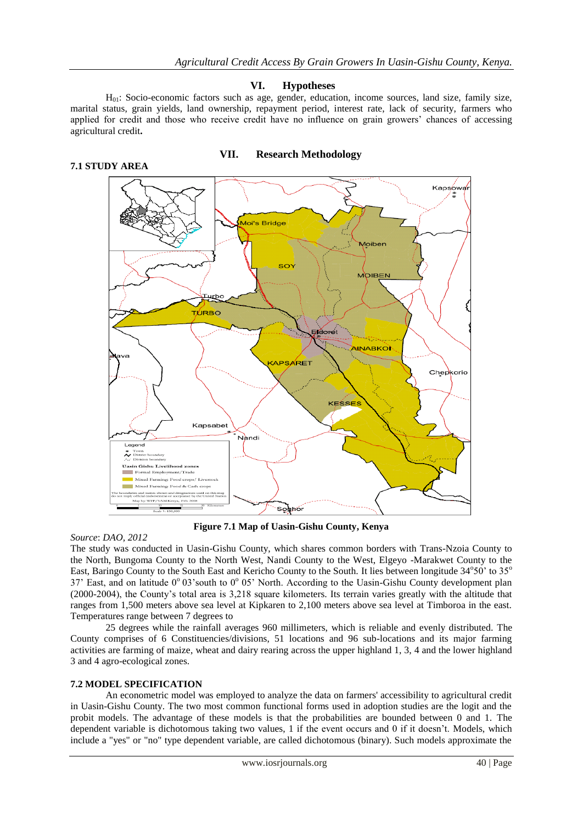Kapsówa

### **VI. Hypotheses**

 $H<sub>01</sub>$ : Socio-economic factors such as age, gender, education, income sources, land size, family size, marital status, grain yields, land ownership, repayment period, interest rate, lack of security, farmers who applied for credit and those who receive credit have no influence on grain growers" chances of accessing agricultural credit**.**

**VII. Research Methodology**

### **7.1 STUDY AREA**

# oi's Bridge



**Figure 7.1 Map of Uasin-Gishu County, Kenya**

### *Source*: *DAO, 2012*

The study was conducted in Uasin-Gishu County, which shares common borders with Trans-Nzoia County to the North, Bungoma County to the North West, Nandi County to the West, Elgeyo -Marakwet County to the East, Baringo County to the South East and Kericho County to the South. It lies between longitude  $34^{\circ}50'$  to  $35^{\circ}$ 37' East, and on latitude 0° 03' south to 0° 05' North. According to the Uasin-Gishu County development plan (2000-2004), the County"s total area is 3,218 square kilometers. Its terrain varies greatly with the altitude that ranges from 1,500 meters above sea level at Kipkaren to 2,100 meters above sea level at Timboroa in the east. Temperatures range between 7 degrees to

25 degrees while the rainfall averages 960 millimeters, which is reliable and evenly distributed. The County comprises of 6 Constituencies/divisions, 51 locations and 96 sub-locations and its major farming activities are farming of maize, wheat and dairy rearing across the upper highland 1, 3, 4 and the lower highland 3 and 4 agro-ecological zones.

### **7.2 MODEL SPECIFICATION**

An econometric model was employed to analyze the data on farmers' accessibility to agricultural credit in Uasin-Gishu County. The two most common functional forms used in adoption studies are the logit and the probit models. The advantage of these models is that the probabilities are bounded between 0 and 1. The dependent variable is dichotomous taking two values, 1 if the event occurs and 0 if it doesn"t. Models, which include a "yes" or "no" type dependent variable, are called dichotomous (binary). Such models approximate the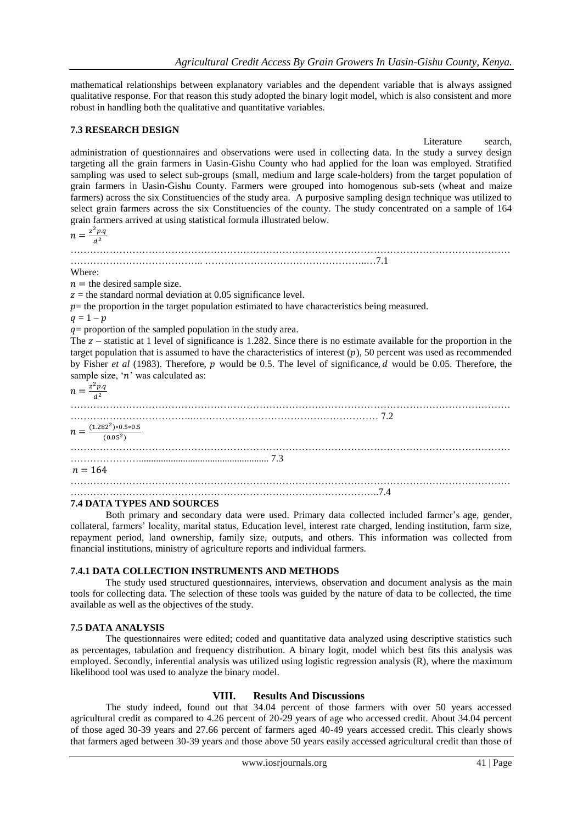mathematical relationships between explanatory variables and the dependent variable that is always assigned qualitative response. For that reason this study adopted the binary logit model, which is also consistent and more robust in handling both the qualitative and quantitative variables.

### **7.3 RESEARCH DESIGN**

Literature search, administration of questionnaires and observations were used in collecting data. In the study a survey design targeting all the grain farmers in Uasin-Gishu County who had applied for the loan was employed. Stratified sampling was used to select sub-groups (small, medium and large scale-holders) from the target population of grain farmers in Uasin-Gishu County. Farmers were grouped into homogenous sub-sets (wheat and maize farmers) across the six Constituencies of the study area. A purposive sampling design technique was utilized to select grain farmers across the six Constituencies of the county. The study concentrated on a sample of 164 grain farmers arrived at using statistical formula illustrated below.

 $n = \frac{z^2 p.q}{r^2}$  $d<sup>2</sup>$ 

……………………………………………………………………………………………………………………… ………………………………….. …………………………………………..…7.1

Where:

 $n =$  the desired sample size.

 $z =$  the standard normal deviation at 0.05 significance level.

 $p$  = the proportion in the target population estimated to have characteristics being measured.

 $q = 1 - p$ 

 $q =$  proportion of the sampled population in the study area.

The  $z$  – statistic at 1 level of significance is 1.282. Since there is no estimate available for the proportion in the target population that is assumed to have the characteristics of interest  $(p)$ , 50 percent was used as recommended by Fisher *et al* (1983). Therefore, p would be 0.5. The level of significance, d would be 0.05. Therefore, the sample size, ' $n$ ' was calculated as:

 $n=\frac{z^2}{2}$  $d^2$ 

……………………………………………………………………………………………………………………… ………………………………..………………………………………………… 7.2  $n = \frac{(1.282^2)*0.5*0.5}{(0.052)}$  $(0.05^2)$ ……………………………………………………………………………………………………………………… …………………..................................................... 7.3  $n = 164$ ……………………………………………………………………………………………………………………… …………………………………………………………………………………..7.4

### **7.4 DATA TYPES AND SOURCES**

Both primary and secondary data were used. Primary data collected included farmer"s age, gender, collateral, farmers" locality, marital status, Education level, interest rate charged, lending institution, farm size, repayment period, land ownership, family size, outputs, and others. This information was collected from financial institutions, ministry of agriculture reports and individual farmers.

### **7.4.1 DATA COLLECTION INSTRUMENTS AND METHODS**

The study used structured questionnaires, interviews, observation and document analysis as the main tools for collecting data. The selection of these tools was guided by the nature of data to be collected, the time available as well as the objectives of the study.

### **7.5 DATA ANALYSIS**

The questionnaires were edited; coded and quantitative data analyzed using descriptive statistics such as percentages, tabulation and frequency distribution. A binary logit, model which best fits this analysis was employed. Secondly, inferential analysis was utilized using logistic regression analysis (R), where the maximum likelihood tool was used to analyze the binary model.

### **VIII. Results And Discussions**

The study indeed, found out that 34.04 percent of those farmers with over 50 years accessed agricultural credit as compared to 4.26 percent of 20-29 years of age who accessed credit. About 34.04 percent of those aged 30-39 years and 27.66 percent of farmers aged 40-49 years accessed credit. This clearly shows that farmers aged between 30-39 years and those above 50 years easily accessed agricultural credit than those of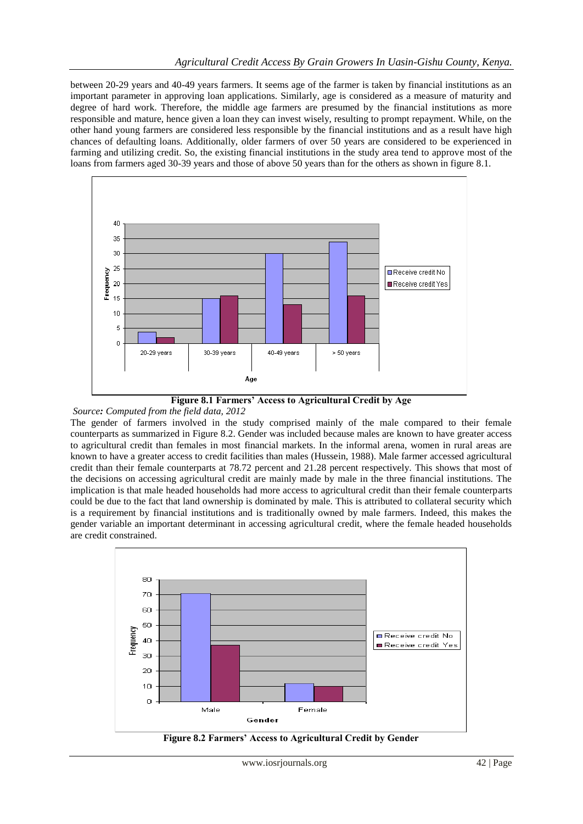between 20-29 years and 40-49 years farmers. It seems age of the farmer is taken by financial institutions as an important parameter in approving loan applications. Similarly, age is considered as a measure of maturity and degree of hard work. Therefore, the middle age farmers are presumed by the financial institutions as more responsible and mature, hence given a loan they can invest wisely, resulting to prompt repayment. While, on the other hand young farmers are considered less responsible by the financial institutions and as a result have high chances of defaulting loans. Additionally, older farmers of over 50 years are considered to be experienced in farming and utilizing credit. So, the existing financial institutions in the study area tend to approve most of the loans from farmers aged 30-39 years and those of above 50 years than for the others as shown in figure 8.1.



**Figure 8.1 Farmers' Access to Agricultural Credit by Age**

*Source: Computed from the field data, 2012*

The gender of farmers involved in the study comprised mainly of the male compared to their female counterparts as summarized in Figure 8.2. Gender was included because males are known to have greater access to agricultural credit than females in most financial markets. In the informal arena, women in rural areas are known to have a greater access to credit facilities than males (Hussein, 1988). Male farmer accessed agricultural credit than their female counterparts at 78.72 percent and 21.28 percent respectively. This shows that most of the decisions on accessing agricultural credit are mainly made by male in the three financial institutions. The implication is that male headed households had more access to agricultural credit than their female counterparts could be due to the fact that land ownership is dominated by male. This is attributed to collateral security which is a requirement by financial institutions and is traditionally owned by male farmers. Indeed, this makes the gender variable an important determinant in accessing agricultural credit, where the female headed households are credit constrained.



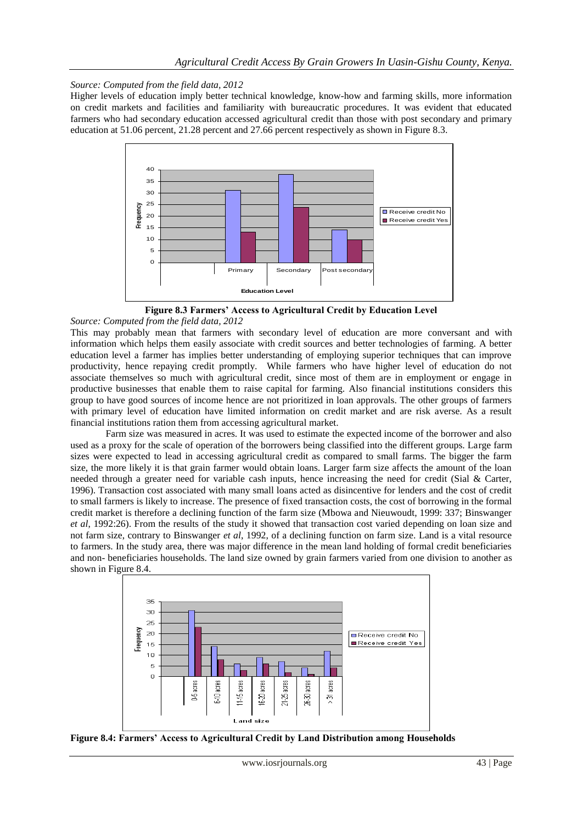*Source: Computed from the field data, 2012*

Higher levels of education imply better technical knowledge, know-how and farming skills, more information on credit markets and facilities and familiarity with bureaucratic procedures. It was evident that educated farmers who had secondary education accessed agricultural credit than those with post secondary and primary education at 51.06 percent, 21.28 percent and 27.66 percent respectively as shown in Figure 8.3.



**Figure 8.3 Farmers' Access to Agricultural Credit by Education Level**

*Source: Computed from the field data, 2012*

This may probably mean that farmers with secondary level of education are more conversant and with information which helps them easily associate with credit sources and better technologies of farming. A better education level a farmer has implies better understanding of employing superior techniques that can improve productivity, hence repaying credit promptly. While farmers who have higher level of education do not associate themselves so much with agricultural credit, since most of them are in employment or engage in productive businesses that enable them to raise capital for farming. Also financial institutions considers this group to have good sources of income hence are not prioritized in loan approvals. The other groups of farmers with primary level of education have limited information on credit market and are risk averse. As a result financial institutions ration them from accessing agricultural market.

Farm size was measured in acres. It was used to estimate the expected income of the borrower and also used as a proxy for the scale of operation of the borrowers being classified into the different groups. Large farm sizes were expected to lead in accessing agricultural credit as compared to small farms. The bigger the farm size, the more likely it is that grain farmer would obtain loans. Larger farm size affects the amount of the loan needed through a greater need for variable cash inputs, hence increasing the need for credit (Sial & Carter, 1996). Transaction cost associated with many small loans acted as disincentive for lenders and the cost of credit to small farmers is likely to increase. The presence of fixed transaction costs, the cost of borrowing in the formal credit market is therefore a declining function of the farm size (Mbowa and Nieuwoudt, 1999: 337; Binswanger *et al*, 1992:26). From the results of the study it showed that transaction cost varied depending on loan size and not farm size, contrary to Binswanger *et al*, 1992, of a declining function on farm size. Land is a vital resource to farmers. In the study area, there was major difference in the mean land holding of formal credit beneficiaries and non- beneficiaries households. The land size owned by grain farmers varied from one division to another as shown in Figure 8.4.



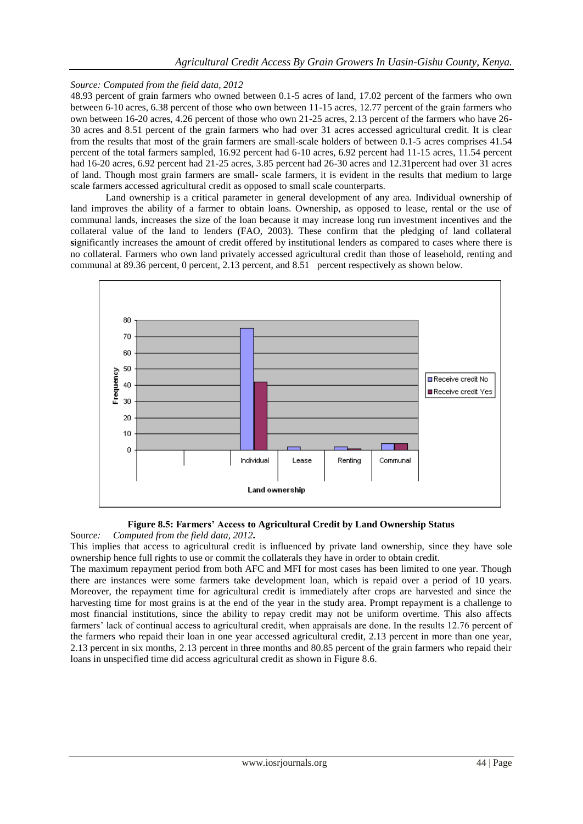### *Source: Computed from the field data, 2012*

48.93 percent of grain farmers who owned between 0.1-5 acres of land, 17.02 percent of the farmers who own between 6-10 acres, 6.38 percent of those who own between 11-15 acres, 12.77 percent of the grain farmers who own between 16-20 acres, 4.26 percent of those who own 21-25 acres, 2.13 percent of the farmers who have 26- 30 acres and 8.51 percent of the grain farmers who had over 31 acres accessed agricultural credit. It is clear from the results that most of the grain farmers are small-scale holders of between 0.1-5 acres comprises 41.54 percent of the total farmers sampled, 16.92 percent had 6-10 acres, 6.92 percent had 11-15 acres, 11.54 percent had 16-20 acres, 6.92 percent had 21-25 acres, 3.85 percent had 26-30 acres and 12.31percent had over 31 acres of land. Though most grain farmers are small- scale farmers, it is evident in the results that medium to large scale farmers accessed agricultural credit as opposed to small scale counterparts.

Land ownership is a critical parameter in general development of any area. Individual ownership of land improves the ability of a farmer to obtain loans. Ownership, as opposed to lease, rental or the use of communal lands, increases the size of the loan because it may increase long run investment incentives and the collateral value of the land to lenders (FAO, 2003). These confirm that the pledging of land collateral **s**ignificantly increases the amount of credit offered by institutional lenders as compared to cases where there is no collateral. Farmers who own land privately accessed agricultural credit than those of leasehold, renting and communal at 89.36 percent, 0 percent, 2.13 percent, and 8.51 percent respectively as shown below.



### **Figure 8.5: Farmers' Access to Agricultural Credit by Land Ownership Status**

Sour*ce: Computed from the field data, 2012***.**

This implies that access to agricultural credit is influenced by private land ownership, since they have sole ownership hence full rights to use or commit the collaterals they have in order to obtain credit.

The maximum repayment period from both AFC and MFI for most cases has been limited to one year. Though there are instances were some farmers take development loan, which is repaid over a period of 10 years. Moreover, the repayment time for agricultural credit is immediately after crops are harvested and since the harvesting time for most grains is at the end of the year in the study area. Prompt repayment is a challenge to most financial institutions, since the ability to repay credit may not be uniform overtime. This also affects farmers' lack of continual access to agricultural credit, when appraisals are done. In the results 12.76 percent of the farmers who repaid their loan in one year accessed agricultural credit, 2.13 percent in more than one year, 2.13 percent in six months, 2.13 percent in three months and 80.85 percent of the grain farmers who repaid their loans in unspecified time did access agricultural credit as shown in Figure 8.6.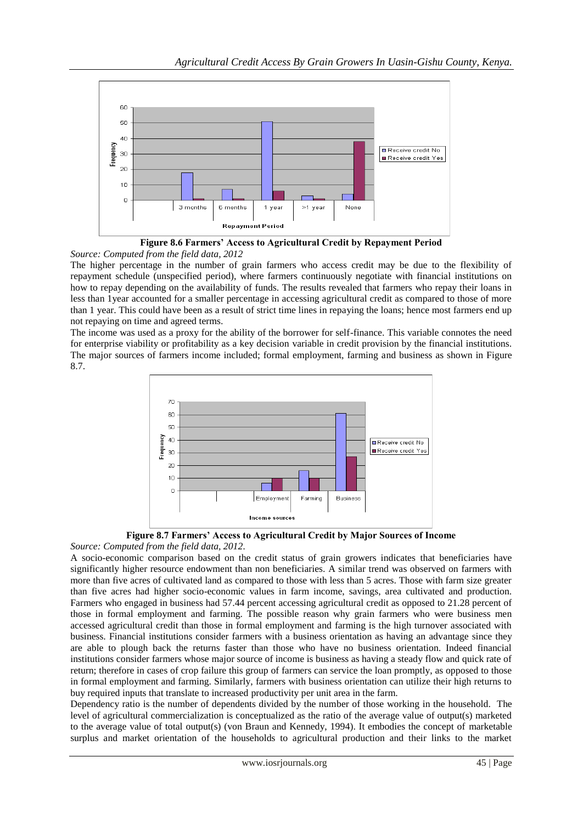

**Figure 8.6 Farmers' Access to Agricultural Credit by Repayment Period** *Source: Computed from the field data, 2012*

The higher percentage in the number of grain farmers who access credit may be due to the flexibility of repayment schedule (unspecified period), where farmers continuously negotiate with financial institutions on how to repay depending on the availability of funds. The results revealed that farmers who repay their loans in less than 1year accounted for a smaller percentage in accessing agricultural credit as compared to those of more than 1 year. This could have been as a result of strict time lines in repaying the loans; hence most farmers end up not repaying on time and agreed terms.

The income was used as a proxy for the ability of the borrower for self-finance. This variable connotes the need for enterprise viability or profitability as a key decision variable in credit provision by the financial institutions. The major sources of farmers income included; formal employment, farming and business as shown in Figure 8.7.



**Figure 8.7 Farmers' Access to Agricultural Credit by Major Sources of Income** *Source: Computed from the field data, 2012.*

A socio-economic comparison based on the credit status of grain growers indicates that beneficiaries have significantly higher resource endowment than non beneficiaries. A similar trend was observed on farmers with more than five acres of cultivated land as compared to those with less than 5 acres. Those with farm size greater than five acres had higher socio-economic values in farm income, savings, area cultivated and production. Farmers who engaged in business had 57.44 percent accessing agricultural credit as opposed to 21.28 percent of those in formal employment and farming. The possible reason why grain farmers who were business men accessed agricultural credit than those in formal employment and farming is the high turnover associated with business. Financial institutions consider farmers with a business orientation as having an advantage since they are able to plough back the returns faster than those who have no business orientation. Indeed financial institutions consider farmers whose major source of income is business as having a steady flow and quick rate of return; therefore in cases of crop failure this group of farmers can service the loan promptly, as opposed to those in formal employment and farming. Similarly, farmers with business orientation can utilize their high returns to buy required inputs that translate to increased productivity per unit area in the farm.

Dependency ratio is the number of dependents divided by the number of those working in the household. The level of agricultural commercialization is conceptualized as the ratio of the average value of output(s) marketed to the average value of total output(s) (von Braun and Kennedy, 1994). It embodies the concept of marketable surplus and market orientation of the households to agricultural production and their links to the market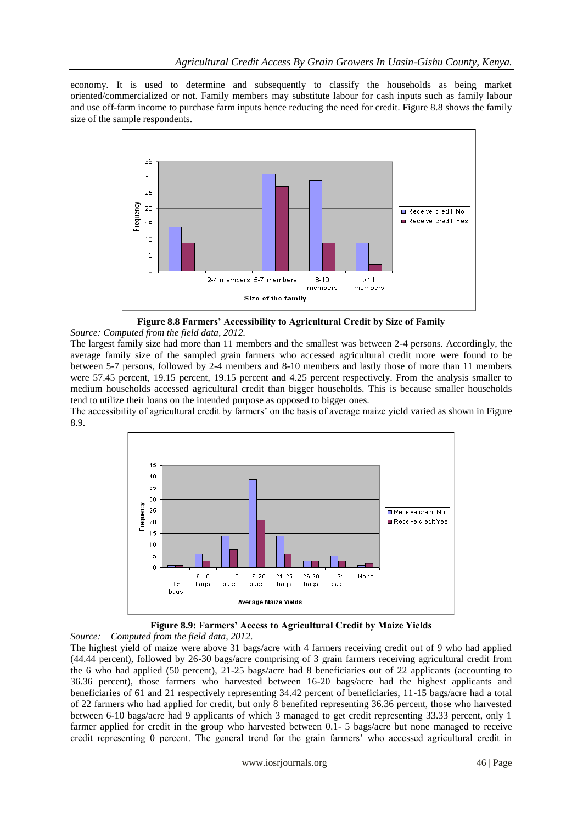economy. It is used to determine and subsequently to classify the households as being market oriented/commercialized or not. Family members may substitute labour for cash inputs such as family labour and use off-farm income to purchase farm inputs hence reducing the need for credit. Figure 8.8 shows the family size of the sample respondents.



**Figure 8.8 Farmers' Accessibility to Agricultural Credit by Size of Family**

*Source: Computed from the field data, 2012.*

The largest family size had more than 11 members and the smallest was between 2-4 persons. Accordingly, the average family size of the sampled grain farmers who accessed agricultural credit more were found to be between 5-7 persons, followed by 2-4 members and 8-10 members and lastly those of more than 11 members were 57.45 percent, 19.15 percent, 19.15 percent and 4.25 percent respectively. From the analysis smaller to medium households accessed agricultural credit than bigger households. This is because smaller households tend to utilize their loans on the intended purpose as opposed to bigger ones.

The accessibility of agricultural credit by farmers" on the basis of average maize yield varied as shown in Figure 8.9.



**Figure 8.9: Farmers' Access to Agricultural Credit by Maize Yields**

*Source: Computed from the field data, 2012*. The highest yield of maize were above 31 bags/acre with 4 farmers receiving credit out of 9 who had applied (44.44 percent), followed by 26-30 bags/acre comprising of 3 grain farmers receiving agricultural credit from the 6 who had applied (50 percent), 21-25 bags/acre had 8 beneficiaries out of 22 applicants (accounting to 36.36 percent), those farmers who harvested between 16-20 bags/acre had the highest applicants and beneficiaries of 61 and 21 respectively representing 34.42 percent of beneficiaries, 11-15 bags/acre had a total of 22 farmers who had applied for credit, but only 8 benefited representing 36.36 percent, those who harvested between 6-10 bags/acre had 9 applicants of which 3 managed to get credit representing 33.33 percent, only 1 farmer applied for credit in the group who harvested between 0.1- 5 bags/acre but none managed to receive credit representing 0 percent. The general trend for the grain farmers" who accessed agricultural credit in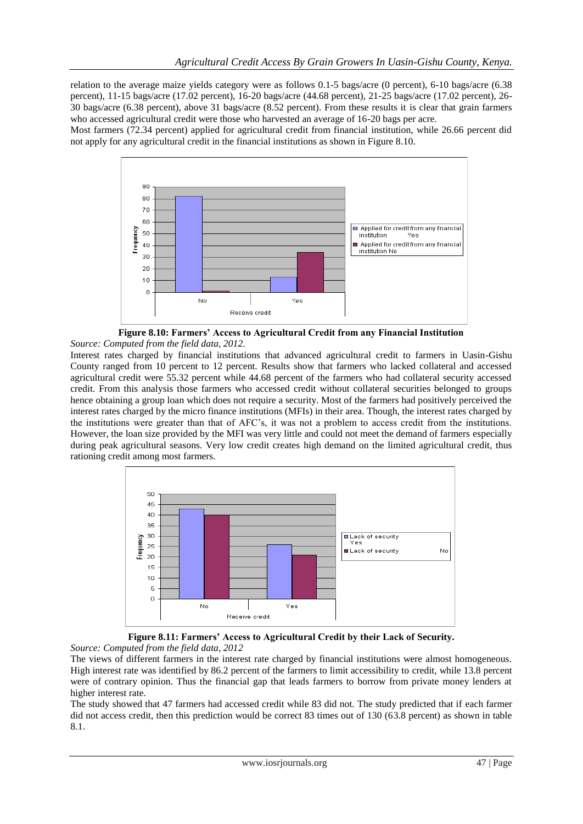relation to the average maize yields category were as follows 0.1-5 bags/acre (0 percent), 6-10 bags/acre (6.38 percent), 11-15 bags/acre (17.02 percent), 16-20 bags/acre (44.68 percent), 21-25 bags/acre (17.02 percent), 26- 30 bags/acre (6.38 percent), above 31 bags/acre (8.52 percent). From these results it is clear that grain farmers who accessed agricultural credit were those who harvested an average of 16-20 bags per acre.

Most farmers (72.34 percent) applied for agricultural credit from financial institution, while 26.66 percent did not apply for any agricultural credit in the financial institutions as shown in Figure 8.10.





Interest rates charged by financial institutions that advanced agricultural credit to farmers in Uasin-Gishu County ranged from 10 percent to 12 percent. Results show that farmers who lacked collateral and accessed agricultural credit were 55.32 percent while 44.68 percent of the farmers who had collateral security accessed credit. From this analysis those farmers who accessed credit without collateral securities belonged to groups hence obtaining a group loan which does not require a security. Most of the farmers had positively perceived the interest rates charged by the micro finance institutions (MFIs) in their area. Though, the interest rates charged by the institutions were greater than that of AFC"s, it was not a problem to access credit from the institutions. However, the loan size provided by the MFI was very little and could not meet the demand of farmers especially during peak agricultural seasons. Very low credit creates high demand on the limited agricultural credit, thus rationing credit among most farmers.



**Figure 8.11: Farmers' Access to Agricultural Credit by their Lack of Security.** *Source: Computed from the field data, 2012*

The views of different farmers in the interest rate charged by financial institutions were almost homogeneous. High interest rate was identified by 86.2 percent of the farmers to limit accessibility to credit, while 13.8 percent were of contrary opinion. Thus the financial gap that leads farmers to borrow from private money lenders at higher interest rate.

The study showed that 47 farmers had accessed credit while 83 did not. The study predicted that if each farmer did not access credit, then this prediction would be correct 83 times out of 130 (63.8 percent) as shown in table 8.1.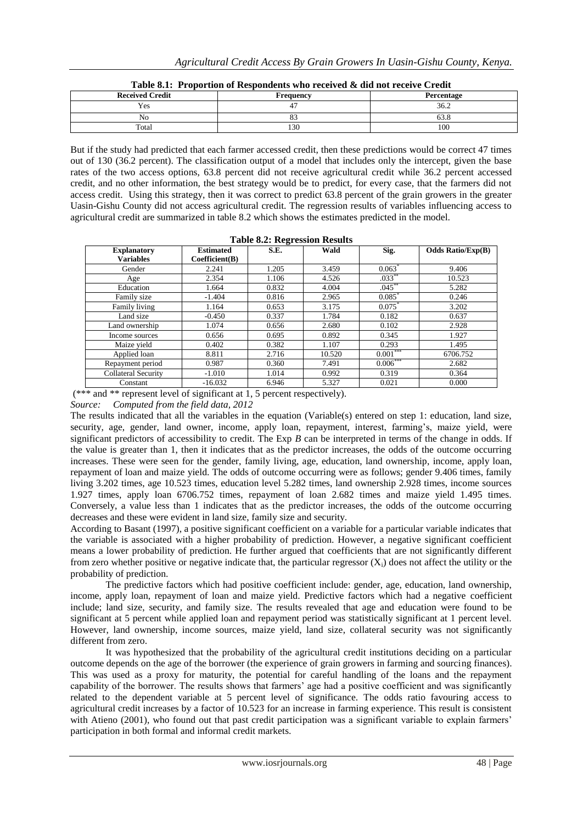| <b>Received Credit</b> | Frequency | Percentage |  |  |
|------------------------|-----------|------------|--|--|
| Yes                    |           | 36.2       |  |  |
| No                     | ິ         | UJ.O       |  |  |
| Total                  | 130       | 100        |  |  |

**Table 8.1: Proportion of Respondents who received & did not receive Credit**

But if the study had predicted that each farmer accessed credit, then these predictions would be correct 47 times out of 130 (36.2 percent). The classification output of a model that includes only the intercept, given the base rates of the two access options, 63.8 percent did not receive agricultural credit while 36.2 percent accessed credit, and no other information, the best strategy would be to predict, for every case, that the farmers did not access credit. Using this strategy, then it was correct to predict 63.8 percent of the grain growers in the greater Uasin-Gishu County did not access agricultural credit. The regression results of variables influencing access to agricultural credit are summarized in table 8.2 which shows the estimates predicted in the model.

| Table 0.4. Regi essibil results        |                                    |       |        |                      |                          |  |  |  |  |  |
|----------------------------------------|------------------------------------|-------|--------|----------------------|--------------------------|--|--|--|--|--|
| <b>Explanatory</b><br><b>Variables</b> | <b>Estimated</b><br>Coefficient(B) | S.E.  | Wald   | Sig.                 | <b>Odds Ratio/Exp(B)</b> |  |  |  |  |  |
| Gender                                 | 2.241                              | 1.205 | 3.459  | $0.063$ <sup>*</sup> | 9.406                    |  |  |  |  |  |
| Age                                    | 2.354                              | 1.106 | 4.526  | $.033***$            | 10.523                   |  |  |  |  |  |
| Education                              | 1.664                              | 0.832 | 4.004  | $.045***$            | 5.282                    |  |  |  |  |  |
| Family size                            | $-1.404$                           | 0.816 | 2.965  | $0.085*$             | 0.246                    |  |  |  |  |  |
| Family living                          | 1.164                              | 0.653 | 3.175  | $0.075*$             | 3.202                    |  |  |  |  |  |
| Land size                              | $-0.450$                           | 0.337 | 1.784  | 0.182                | 0.637                    |  |  |  |  |  |
| Land ownership                         | 1.074                              | 0.656 | 2.680  | 0.102                | 2.928                    |  |  |  |  |  |
| Income sources                         | 0.656                              | 0.695 | 0.892  | 0.345                | 1.927                    |  |  |  |  |  |
| Maize yield                            | 0.402                              | 0.382 | 1.107  | 0.293                | 1.495                    |  |  |  |  |  |
| Applied loan                           | 8.811                              | 2.716 | 10.520 | $0.001***$           | 6706.752                 |  |  |  |  |  |
| Repayment period                       | 0.987                              | 0.360 | 7.491  | $0.006***$           | 2.682                    |  |  |  |  |  |
| <b>Collateral Security</b>             | $-1.010$                           | 1.014 | 0.992  | 0.319                | 0.364                    |  |  |  |  |  |
| Constant                               | $-16.032$                          | 6.946 | 5.327  | 0.021                | 0.000                    |  |  |  |  |  |

**Table 8.2: Regression Results**

(\*\*\* and \*\* represent level of significant at 1, 5 percent respectively).

*Source: Computed from the field data, 2012*

The results indicated that all the variables in the equation (Variable(s) entered on step 1: education, land size, security, age, gender, land owner, income, apply loan, repayment, interest, farming"s, maize yield, were significant predictors of accessibility to credit. The Exp *B* can be interpreted in terms of the change in odds. If the value is greater than 1, then it indicates that as the predictor increases, the odds of the outcome occurring increases. These were seen for the gender, family living, age, education, land ownership, income, apply loan, repayment of loan and maize yield. The odds of outcome occurring were as follows; gender 9.406 times, family living 3.202 times, age 10.523 times, education level 5.282 times, land ownership 2.928 times, income sources 1.927 times, apply loan 6706.752 times, repayment of loan 2.682 times and maize yield 1.495 times. Conversely, a value less than 1 indicates that as the predictor increases, the odds of the outcome occurring decreases and these were evident in land size, family size and security.

According to Basant (1997), a positive significant coefficient on a variable for a particular variable indicates that the variable is associated with a higher probability of prediction. However, a negative significant coefficient means a lower probability of prediction. He further argued that coefficients that are not significantly different from zero whether positive or negative indicate that, the particular regressor  $(X_i)$  does not affect the utility or the probability of prediction.

The predictive factors which had positive coefficient include: gender, age, education, land ownership, income, apply loan, repayment of loan and maize yield. Predictive factors which had a negative coefficient include; land size, security, and family size. The results revealed that age and education were found to be significant at 5 percent while applied loan and repayment period was statistically significant at 1 percent level. However, land ownership, income sources, maize yield, land size, collateral security was not significantly different from zero.

It was hypothesized that the probability of the agricultural credit institutions deciding on a particular outcome depends on the age of the borrower (the experience of grain growers in farming and sourcing finances). This was used as a proxy for maturity, the potential for careful handling of the loans and the repayment capability of the borrower. The results shows that farmers" age had a positive coefficient and was significantly related to the dependent variable at 5 percent level of significance. The odds ratio favouring access to agricultural credit increases by a factor of 10.523 for an increase in farming experience. This result is consistent with Atieno (2001), who found out that past credit participation was a significant variable to explain farmers' participation in both formal and informal credit markets.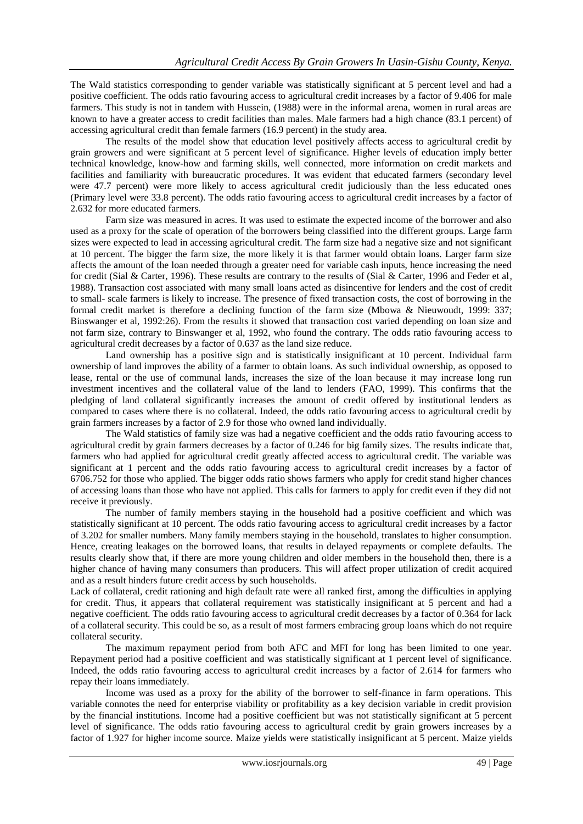The Wald statistics corresponding to gender variable was statistically significant at 5 percent level and had a positive coefficient. The odds ratio favouring access to agricultural credit increases by a factor of 9.406 for male farmers. This study is not in tandem with Hussein, (1988) were in the informal arena, women in rural areas are known to have a greater access to credit facilities than males. Male farmers had a high chance (83.1 percent) of accessing agricultural credit than female farmers (16.9 percent) in the study area.

The results of the model show that education level positively affects access to agricultural credit by grain growers and were significant at 5 percent level of significance. Higher levels of education imply better technical knowledge, know-how and farming skills, well connected, more information on credit markets and facilities and familiarity with bureaucratic procedures. It was evident that educated farmers (secondary level were 47.7 percent) were more likely to access agricultural credit judiciously than the less educated ones (Primary level were 33.8 percent). The odds ratio favouring access to agricultural credit increases by a factor of 2.632 for more educated farmers.

Farm size was measured in acres. It was used to estimate the expected income of the borrower and also used as a proxy for the scale of operation of the borrowers being classified into the different groups. Large farm sizes were expected to lead in accessing agricultural credit. The farm size had a negative size and not significant at 10 percent. The bigger the farm size, the more likely it is that farmer would obtain loans. Larger farm size affects the amount of the loan needed through a greater need for variable cash inputs, hence increasing the need for credit (Sial & Carter, 1996). These results are contrary to the results of (Sial & Carter, 1996 and Feder et al*,*  1988). Transaction cost associated with many small loans acted as disincentive for lenders and the cost of credit to small- scale farmers is likely to increase. The presence of fixed transaction costs, the cost of borrowing in the formal credit market is therefore a declining function of the farm size (Mbowa & Nieuwoudt, 1999: 337; Binswanger et al, 1992:26). From the results it showed that transaction cost varied depending on loan size and not farm size, contrary to Binswanger et al, 1992, who found the contrary. The odds ratio favouring access to agricultural credit decreases by a factor of 0.637 as the land size reduce.

Land ownership has a positive sign and is statistically insignificant at 10 percent. Individual farm ownership of land improves the ability of a farmer to obtain loans. As such individual ownership, as opposed to lease, rental or the use of communal lands, increases the size of the loan because it may increase long run investment incentives and the collateral value of the land to lenders (FAO, 1999). This confirms that the pledging of land collateral significantly increases the amount of credit offered by institutional lenders as compared to cases where there is no collateral. Indeed, the odds ratio favouring access to agricultural credit by grain farmers increases by a factor of 2.9 for those who owned land individually.

The Wald statistics of family size was had a negative coefficient and the odds ratio favouring access to agricultural credit by grain farmers decreases by a factor of 0.246 for big family sizes. The results indicate that, farmers who had applied for agricultural credit greatly affected access to agricultural credit. The variable was significant at 1 percent and the odds ratio favouring access to agricultural credit increases by a factor of 6706.752 for those who applied. The bigger odds ratio shows farmers who apply for credit stand higher chances of accessing loans than those who have not applied. This calls for farmers to apply for credit even if they did not receive it previously.

The number of family members staying in the household had a positive coefficient and which was statistically significant at 10 percent. The odds ratio favouring access to agricultural credit increases by a factor of 3.202 for smaller numbers. Many family members staying in the household, translates to higher consumption. Hence, creating leakages on the borrowed loans, that results in delayed repayments or complete defaults. The results clearly show that, if there are more young children and older members in the household then, there is a higher chance of having many consumers than producers. This will affect proper utilization of credit acquired and as a result hinders future credit access by such households.

Lack of collateral, credit rationing and high default rate were all ranked first, among the difficulties in applying for credit. Thus, it appears that collateral requirement was statistically insignificant at 5 percent and had a negative coefficient. The odds ratio favouring access to agricultural credit decreases by a factor of 0.364 for lack of a collateral security. This could be so, as a result of most farmers embracing group loans which do not require collateral security.

The maximum repayment period from both AFC and MFI for long has been limited to one year. Repayment period had a positive coefficient and was statistically significant at 1 percent level of significance. Indeed, the odds ratio favouring access to agricultural credit increases by a factor of 2.614 for farmers who repay their loans immediately.

Income was used as a proxy for the ability of the borrower to self-finance in farm operations. This variable connotes the need for enterprise viability or profitability as a key decision variable in credit provision by the financial institutions. Income had a positive coefficient but was not statistically significant at 5 percent level of significance. The odds ratio favouring access to agricultural credit by grain growers increases by a factor of 1.927 for higher income source. Maize yields were statistically insignificant at 5 percent. Maize yields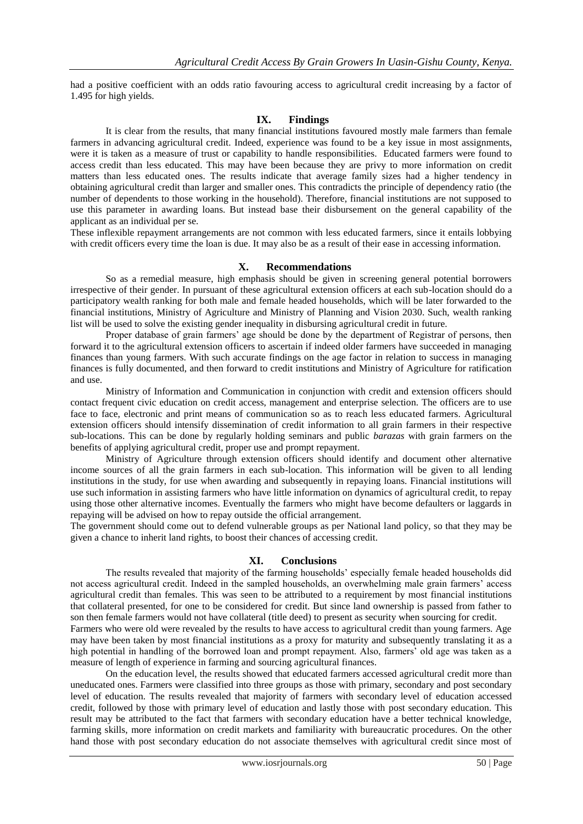had a positive coefficient with an odds ratio favouring access to agricultural credit increasing by a factor of 1.495 for high yields.

### **IX. Findings**

It is clear from the results, that many financial institutions favoured mostly male farmers than female farmers in advancing agricultural credit. Indeed, experience was found to be a key issue in most assignments, were it is taken as a measure of trust or capability to handle responsibilities. Educated farmers were found to access credit than less educated. This may have been because they are privy to more information on credit matters than less educated ones. The results indicate that average family sizes had a higher tendency in obtaining agricultural credit than larger and smaller ones. This contradicts the principle of dependency ratio (the number of dependents to those working in the household). Therefore, financial institutions are not supposed to use this parameter in awarding loans. But instead base their disbursement on the general capability of the applicant as an individual per se.

These inflexible repayment arrangements are not common with less educated farmers, since it entails lobbying with credit officers every time the loan is due. It may also be as a result of their ease in accessing information.

### **X. Recommendations**

So as a remedial measure, high emphasis should be given in screening general potential borrowers irrespective of their gender. In pursuant of these agricultural extension officers at each sub-location should do a participatory wealth ranking for both male and female headed households, which will be later forwarded to the financial institutions, Ministry of Agriculture and Ministry of Planning and Vision 2030. Such, wealth ranking list will be used to solve the existing gender inequality in disbursing agricultural credit in future.

Proper database of grain farmers' age should be done by the department of Registrar of persons, then forward it to the agricultural extension officers to ascertain if indeed older farmers have succeeded in managing finances than young farmers. With such accurate findings on the age factor in relation to success in managing finances is fully documented, and then forward to credit institutions and Ministry of Agriculture for ratification and use.

Ministry of Information and Communication in conjunction with credit and extension officers should contact frequent civic education on credit access, management and enterprise selection. The officers are to use face to face, electronic and print means of communication so as to reach less educated farmers. Agricultural extension officers should intensify dissemination of credit information to all grain farmers in their respective sub-locations. This can be done by regularly holding seminars and public *barazas* with grain farmers on the benefits of applying agricultural credit, proper use and prompt repayment.

Ministry of Agriculture through extension officers should identify and document other alternative income sources of all the grain farmers in each sub-location. This information will be given to all lending institutions in the study, for use when awarding and subsequently in repaying loans. Financial institutions will use such information in assisting farmers who have little information on dynamics of agricultural credit, to repay using those other alternative incomes. Eventually the farmers who might have become defaulters or laggards in repaying will be advised on how to repay outside the official arrangement.

The government should come out to defend vulnerable groups as per National land policy, so that they may be given a chance to inherit land rights, to boost their chances of accessing credit.

### **XI. Conclusions**

The results revealed that majority of the farming households" especially female headed households did not access agricultural credit. Indeed in the sampled households, an overwhelming male grain farmers' access agricultural credit than females. This was seen to be attributed to a requirement by most financial institutions that collateral presented, for one to be considered for credit. But since land ownership is passed from father to son then female farmers would not have collateral (title deed) to present as security when sourcing for credit. Farmers who were old were revealed by the results to have access to agricultural credit than young farmers. Age may have been taken by most financial institutions as a proxy for maturity and subsequently translating it as a high potential in handling of the borrowed loan and prompt repayment. Also, farmers' old age was taken as a measure of length of experience in farming and sourcing agricultural finances.

On the education level, the results showed that educated farmers accessed agricultural credit more than uneducated ones. Farmers were classified into three groups as those with primary, secondary and post secondary level of education. The results revealed that majority of farmers with secondary level of education accessed credit, followed by those with primary level of education and lastly those with post secondary education. This result may be attributed to the fact that farmers with secondary education have a better technical knowledge, farming skills, more information on credit markets and familiarity with bureaucratic procedures. On the other hand those with post secondary education do not associate themselves with agricultural credit since most of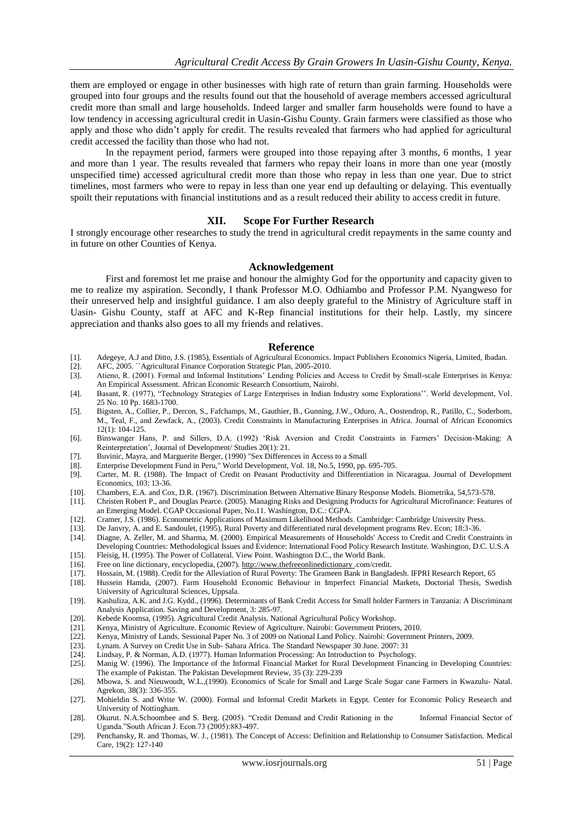them are employed or engage in other businesses with high rate of return than grain farming. Households were grouped into four groups and the results found out that the household of average members accessed agricultural credit more than small and large households. Indeed larger and smaller farm households were found to have a low tendency in accessing agricultural credit in Uasin-Gishu County. Grain farmers were classified as those who apply and those who didn"t apply for credit. The results revealed that farmers who had applied for agricultural credit accessed the facility than those who had not.

In the repayment period, farmers were grouped into those repaying after 3 months, 6 months, 1 year and more than 1 year. The results revealed that farmers who repay their loans in more than one year (mostly unspecified time) accessed agricultural credit more than those who repay in less than one year. Due to strict timelines, most farmers who were to repay in less than one year end up defaulting or delaying. This eventually spoilt their reputations with financial institutions and as a result reduced their ability to access credit in future.

### **XII. Scope For Further Research**

I strongly encourage other researches to study the trend in agricultural credit repayments in the same county and in future on other Counties of Kenya.

### **Acknowledgement**

First and foremost let me praise and honour the almighty God for the opportunity and capacity given to me to realize my aspiration. Secondly, I thank Professor M.O. Odhiambo and Professor P.M. Nyangweso for their unreserved help and insightful guidance. I am also deeply grateful to the Ministry of Agriculture staff in Uasin- Gishu County, staff at AFC and K-Rep financial institutions for their help. Lastly, my sincere appreciation and thanks also goes to all my friends and relatives.

### **Reference**

- [1]. Adegeye, A.J and Ditto, J.S. (1985), Essentials of Agricultural Economics. Impact Publishers Economics Nigeria, Limited, Ibadan.
- [2]. AFC, 2005. ``Agricultural Finance Corporation Strategic Plan, 2005-2010.
- [3]. Atieno, R. (2001). Formal and Informal Institutions" Lending Policies and Access to Credit by Small-scale Enterprises in Kenya: An Empirical Assessment. African Economic Research Consortium, Nairobi.
- [4]. Basant, R. (1977), "Technology Strategies of Large Enterprises in Indian Industry some Explorations"". World development, Vol. 25 No. 10 Pp. 1683-1700.
- [5]. Bigsten, A., Collier, P., Dercon, S., Fafchamps, M., Gauthier, B., Gunning, J.W., Oduro, A., Oostendrop, R., Patillo, C., Soderbom, M., Teal, F., and Zewfack, A., (2003). Credit Constraints in Manufacturing Enterprises in Africa. Journal of African Economics 12(1): 104-125.
- [6]. Binswanger Hans, P. and Sillers, D.A. (1992) "Risk Aversion and Credit Constraints in Farmers" Decision-Making: A Reinterpretation", Journal of Development/ Studies 20(1): 21.
- [7]. Buvinic, Mayra, and Marguerite Berger, (1990) "Sex Differences in Access to a Small
- [8]. Enterprise Development Fund in Peru," World Development, Vol. 18, No.5, 1990, pp. 695-705.
- Carter, M. R. (1988). The Impact of Credit on Peasant Productivity and Differentiation in Nicaragua. Journal of Development Economics, 103: 13-36.
- [10]. Chambers, E.A. and Cox, D.R. (1967). Discrimination Between Alternative Binary Response Models. Biometrika, 54,573-578.
- [11]. Christen Robert P., and Douglas Pearce. (2005). Managing Risks and Designing Products for Agricultural Microfinance: Features of an Emerging Model. CGAP Occasional Paper, No.11. Washington, D.C.: CGPA.
- [12]. Cramer, J.S. (1986). Econometric Applications of Maximum Likelihood Methods. Cambridge: Cambridge University Press.
- [13]. De Janvry, A. and E. Sandoulet, (1995), Rural Poverty and differentiated rural development programs Rev. Econ; 18:3-36.
- [14]. Diagne, A. Zeller, M. and Sharma, M. (2000). Empirical Measurements of Households' Access to Credit and Credit Constraints in Developing Countries: Methodological Issues and Evidence: International Food Policy Research Institute. Washington, D.C. U.S.A
- [15]. Fleisig, H. (1995). The Power of Collateral. View Point. Washington D.C., the World Bank.
- 
- [16]. Free on line dictionary, encyclopedia, (2007). http://www.thefreeonlinedictionary\_com/credit. [17]. Hossain, M. (1988). Credit for the Alleviation of Rural Poverty: The Grameen Bank in Bangla [17]. Hossain, M. (1988). Credit for the Alleviation of Rural Poverty: The Grameen Bank in Bangladesh. IFPRI Research Report, 65 [18]. Hussein Hamda, (2007). Farm Household Economic Behaviour in Imperfect Financial Markets
- Hussein Hamda, (2007). Farm Household Economic Behaviour in Imperfect Financial Markets, Doctorial Thesis, Swedish University of Agricultural Sciences, Uppsala.
- [19]. Kashuliza, A.K. and J.G. Kydd., (1996). Determinants of Bank Credit Access for Small holder Farmers in Tanzania: A Discriminant Analysis Application. Saving and Development, 3: 285-97.
- [20]. Kebede Koomsa, (1995). Agricultural Credit Analysis. National Agricultural Policy Workshop.
- [21]. Kenya, Ministry of Agriculture. Economic Review of Agriculture. Nairobi: Government Printers, 2010.
- [22]. Kenya, Ministry of Lands. Sessional Paper No. 3 of 2009 on National Land Policy. Nairobi: Government Printers, 2009.<br>[23]. Lynam. A Survey on Credit Use in Sub-Sahara Africa. The Standard Newspaper 30 June. 2007: 31
- Lynam. A Survey on Credit Use in Sub- Sahara Africa. The Standard Newspaper 30 June. 2007: 31
- [24]. Lindsay, P. & Norman, A.D. (1977). Human Information Processing: An Introduction to Psychology.
- [25]. Manig W. (1996). The Importance of the Informal Financial Market for Rural Development Financing in Developing Countries: The example of Pakistan. The Pakistan Development Review, 35 (3): 229-239
- [26]. Mbowa, S. and Nieuwoudt, W.L.,(1990). Economics of Scale for Small and Large Scale Sugar cane Farmers in Kwazulu- Natal. Agrekon, 38(3): 336-355.
- [27]. Mohieldin S. and Write W. (2000). Formal and Informal Credit Markets in Egypt. Center for Economic Policy Research and University of Nottingham.
- [28]. Okurut. N.A.Schoombee and S. Berg. (2005). "Credit Demand and Credit Rationing in the Informal Financial Sector of Uganda."South African J. Econ.73 (2005):883-497.
- [29]. Penchansky, R. and Thomas, W. J., (1981). The Concept of Access: Definition and Relationship to Consumer Satisfaction. Medical Care, 19(2): 127-140